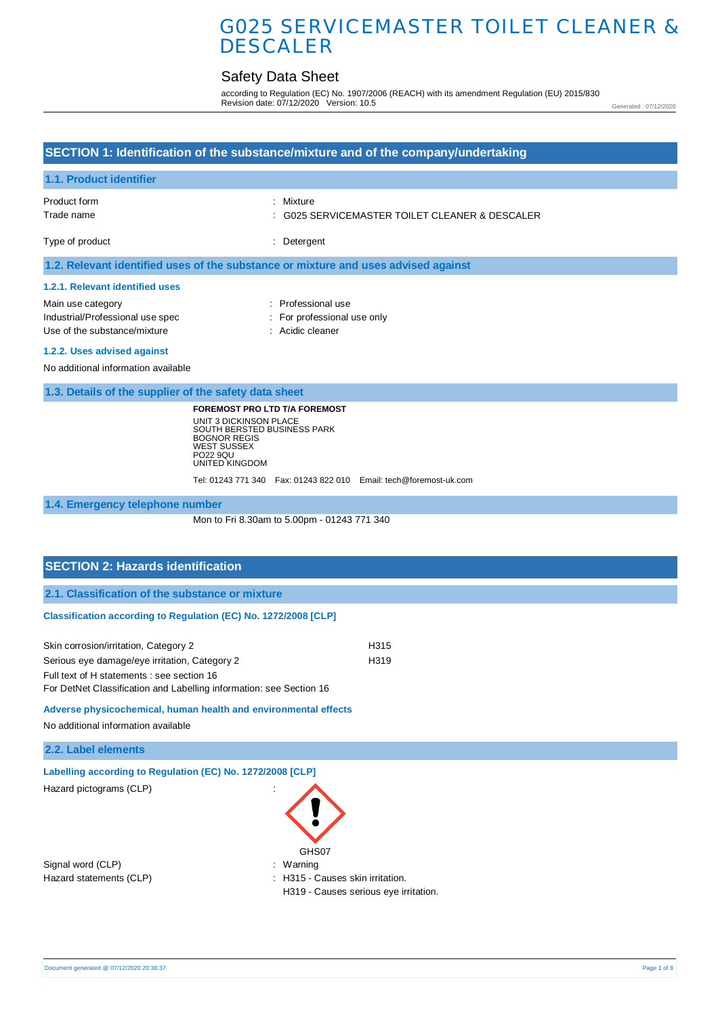## Safety Data Sheet

according to Regulation (EC) No. 1907/2006 (REACH) with its amendment Regulation (EU) 2015/830 Revision date: 07/12/2020 Version: 10.5

Generated : 07/12/2020

# **SECTION 1: Identification of the substance/mixture and of the company/undertaking 1.1. Product identifier** Product form **: Mixture** Trade name : Type of product in the contract of the contract of the contract of the contract of the contract of the contract of the contract of the contract of the contract of the contract of the contract of the contract of the contrac **1.2. Relevant identified uses of the substance or mixture and uses advised against 1.2.1. Relevant identified uses**  Main use category **Example 20** and 20 and 20 and 20 and 20 and 20 and 20 and 20 and 20 and 20 and 20 and 20 and 20 and 20 and 20 and 20 and 20 and 20 and 20 and 20 and 20 and 20 and 20 and 20 and 20 and 20 and 20 and 20 an Industrial/Professional use spec : For professional use only Use of the substance/mixture in the substance in the set of the substance in the set of the substance in the s **1.2.2. Uses advised against**  No additional information available **1.3. Details of the supplier of the safety data sheet 1.4. Emergency telephone number SECTION 2: Hazards identification 2.1. Classification of the substance or mixture** G025 SERVICEMASTER TOILET CLEANER & DESCALER **FOREMOST PRO LTD T/A FOREMOST** UNIT 3 DICKINSON PLACE SOUTH BERSTED BUSINESS PARK BOGNOR REGIS WEST SUSSEX PO22 9QU UNITED KINGDOM Tel: 01243 771 340 Fax: 01243 822 010 Email: tech@foremost-uk.com Mon to Fri 8.30am to 5.00pm - 01243 771 340

#### **Classification according to Regulation (EC) No. 1272/2008 [CLP]**

| Skin corrosion/irritation, Category 2                               | H <sub>315</sub> |
|---------------------------------------------------------------------|------------------|
| Serious eye damage/eye irritation, Category 2                       | H <sub>319</sub> |
| Full text of H statements : see section 16                          |                  |
| For DetNet Classification and Labelling information: see Section 16 |                  |

#### **Adverse physicochemical, human health and environmental effects**

No additional information available

|  | 2.2. Label elements |
|--|---------------------|
|  |                     |

| Labelling according to Regulation (EC) No. 1272/2008 [CLP] |                                                                           |  |
|------------------------------------------------------------|---------------------------------------------------------------------------|--|
| Hazard pictograms (CLP)                                    | ÷                                                                         |  |
|                                                            | GHS07                                                                     |  |
| Signal word (CLP)                                          | : Warning                                                                 |  |
| Hazard statements (CLP)                                    | : H315 - Causes skin irritation.<br>H319 - Causes serious eye irritation. |  |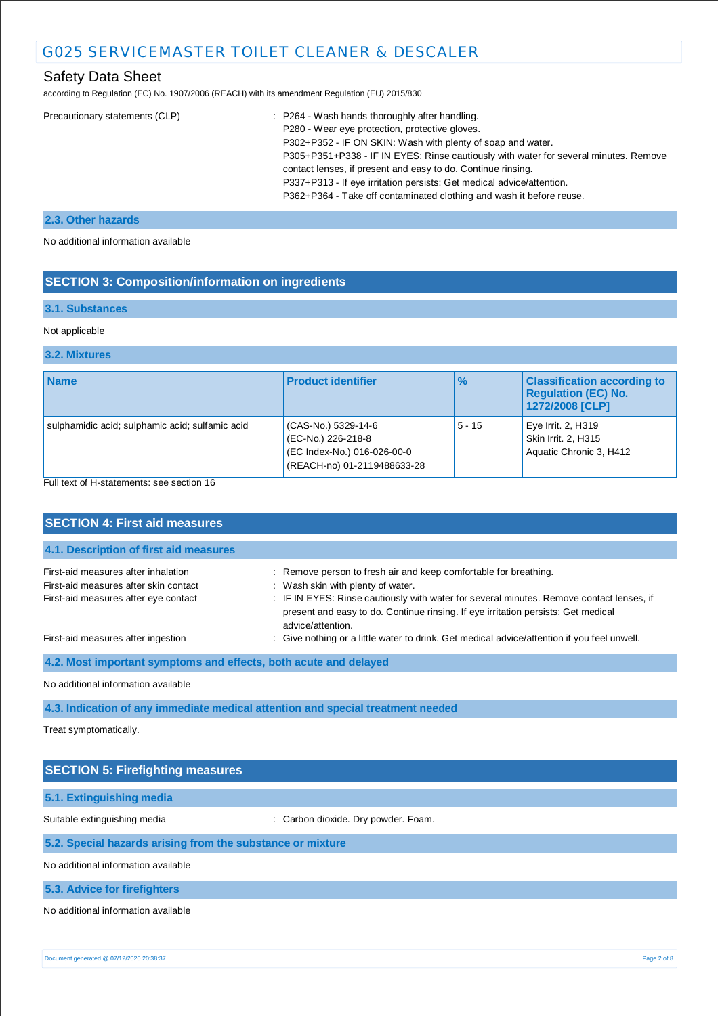## Safety Data Sheet

according to Regulation (EC) No. 1907/2006 (REACH) with its amendment Regulation (EU) 2015/830

| : P264 - Wash hands thoroughly after handling.                                       |
|--------------------------------------------------------------------------------------|
| P280 - Wear eye protection, protective gloves.                                       |
| P302+P352 - IF ON SKIN: Wash with plenty of soap and water.                          |
| P305+P351+P338 - IF IN EYES: Rinse cautiously with water for several minutes. Remove |
| contact lenses, if present and easy to do. Continue rinsing.                         |
| P337+P313 - If eye irritation persists: Get medical advice/attention.                |
| P362+P364 - Take off contaminated clothing and wash it before reuse.                 |
|                                                                                      |

## **2.3. Other hazards**

No additional information available

## **SECTION 3: Composition/information on ingredients**

### **3.1. Substances**

#### Not applicable

### **3.2. Mixtures**

| <b>Name</b>                                     | <b>Product identifier</b>                                                                               | $\frac{9}{6}$ | <b>Classification according to</b><br><b>Regulation (EC) No.</b><br>1272/2008 [CLP] |
|-------------------------------------------------|---------------------------------------------------------------------------------------------------------|---------------|-------------------------------------------------------------------------------------|
| sulphamidic acid; sulphamic acid; sulfamic acid | (CAS-No.) 5329-14-6<br>(EC-No.) 226-218-8<br>(EC Index-No.) 016-026-00-0<br>(REACH-no) 01-2119488633-28 | $5 - 15$      | Eye Irrit. 2, $H319$<br>Skin Irrit. 2, H315<br>Aquatic Chronic 3, H412              |

Full text of H-statements: see section 16

| <b>SECTION 4: First aid measures</b>                                                                                 |                                                                                                                                                                                                                                                                                                             |  |
|----------------------------------------------------------------------------------------------------------------------|-------------------------------------------------------------------------------------------------------------------------------------------------------------------------------------------------------------------------------------------------------------------------------------------------------------|--|
| 4.1. Description of first aid measures                                                                               |                                                                                                                                                                                                                                                                                                             |  |
| First-aid measures after inhalation<br>First-aid measures after skin contact<br>First-aid measures after eye contact | : Remove person to fresh air and keep comfortable for breathing.<br>: Wash skin with plenty of water.<br>: IF IN EYES: Rinse cautiously with water for several minutes. Remove contact lenses, if<br>present and easy to do. Continue rinsing. If eye irritation persists: Get medical<br>advice/attention. |  |
| First-aid measures after ingestion                                                                                   | : Give nothing or a little water to drink. Get medical advice/attention if you feel unwell.                                                                                                                                                                                                                 |  |
| 4.2. Most important symptoms and effects, both acute and delayed                                                     |                                                                                                                                                                                                                                                                                                             |  |
| No additional information available                                                                                  |                                                                                                                                                                                                                                                                                                             |  |
| 4.3. Indication of any immediate medical attention and special treatment needed                                      |                                                                                                                                                                                                                                                                                                             |  |
|                                                                                                                      |                                                                                                                                                                                                                                                                                                             |  |

Treat symptomatically.

| <b>SECTION 5: Firefighting measures</b>                    |                                     |  |
|------------------------------------------------------------|-------------------------------------|--|
| 5.1. Extinguishing media                                   |                                     |  |
| Suitable extinguishing media                               | : Carbon dioxide. Dry powder. Foam. |  |
| 5.2. Special hazards arising from the substance or mixture |                                     |  |
| No additional information available                        |                                     |  |
| 5.3. Advice for firefighters                               |                                     |  |
| No additional information available                        |                                     |  |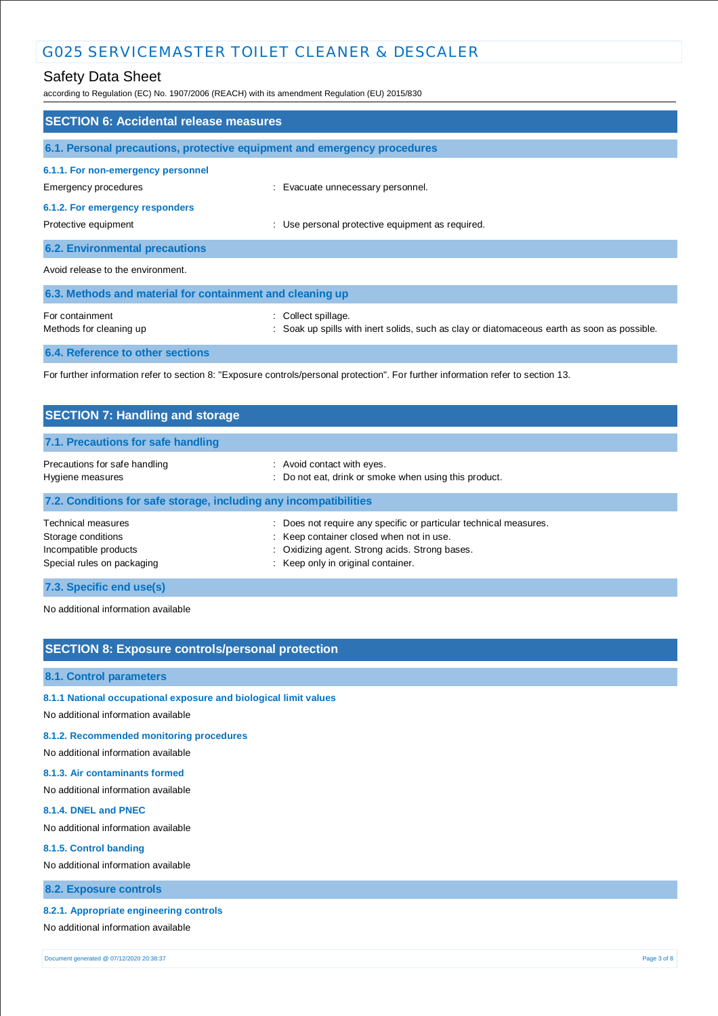## Safety Data Sheet

according to Regulation (EC) No. 1907/2006 (REACH) with its amendment Regulation (EU) 2015/830

| <b>SECTION 6: Accidental release measures</b>                                                                                     |                                                                                                                    |  |  |
|-----------------------------------------------------------------------------------------------------------------------------------|--------------------------------------------------------------------------------------------------------------------|--|--|
| 6.1. Personal precautions, protective equipment and emergency procedures                                                          |                                                                                                                    |  |  |
| 6.1.1. For non-emergency personnel<br>Emergency procedures                                                                        | : Evacuate unnecessary personnel.                                                                                  |  |  |
| 6.1.2. For emergency responders<br>Protective equipment                                                                           | : Use personal protective equipment as required.                                                                   |  |  |
| <b>6.2. Environmental precautions</b>                                                                                             |                                                                                                                    |  |  |
| Avoid release to the environment.                                                                                                 |                                                                                                                    |  |  |
| 6.3. Methods and material for containment and cleaning up                                                                         |                                                                                                                    |  |  |
| For containment<br>Methods for cleaning up                                                                                        | : Collect spillage.<br>: Soak up spills with inert solids, such as clay or diatomaceous earth as soon as possible. |  |  |
| 6.4. Reference to other sections                                                                                                  |                                                                                                                    |  |  |
| For further information refer to section 8: "Exposure controls/personal protection". For further information refer to section 13. |                                                                                                                    |  |  |

| <b>SECTION 7: Handling and storage</b>                                                          |                                                                                                                                                                                                     |  |  |
|-------------------------------------------------------------------------------------------------|-----------------------------------------------------------------------------------------------------------------------------------------------------------------------------------------------------|--|--|
| 7.1. Precautions for safe handling                                                              |                                                                                                                                                                                                     |  |  |
| Precautions for safe handling<br>Hygiene measures                                               | : Avoid contact with eyes.<br>: Do not eat, drink or smoke when using this product.                                                                                                                 |  |  |
| 7.2. Conditions for safe storage, including any incompatibilities                               |                                                                                                                                                                                                     |  |  |
| Technical measures<br>Storage conditions<br>Incompatible products<br>Special rules on packaging | Does not require any specific or particular technical measures.<br>: Keep container closed when not in use.<br>: Oxidizing agent. Strong acids. Strong bases.<br>: Keep only in original container. |  |  |
| 7.3. Specific end use(s)                                                                        |                                                                                                                                                                                                     |  |  |

No additional information available

## **SECTION 8: Exposure controls/personal protection**

#### **8.1. Control parameters**

**8.1.1 National occupational exposure and biological limit values** 

No additional information available

#### **8.1.2. Recommended monitoring procedures**

No additional information available

#### **8.1.3. Air contaminants formed**

No additional information available

#### **8.1.4. DNEL and PNEC**

No additional information available

#### **8.1.5. Control banding**

No additional information available

#### **8.2. Exposure controls**

#### **8.2.1. Appropriate engineering controls**

No additional information available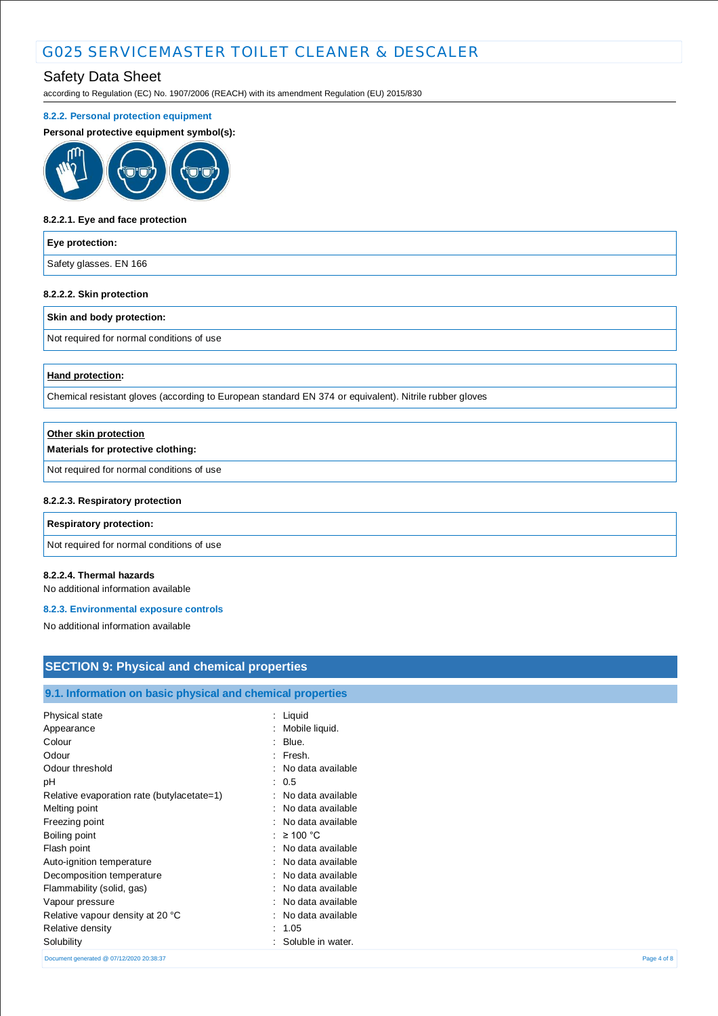## Safety Data Sheet

according to Regulation (EC) No. 1907/2006 (REACH) with its amendment Regulation (EU) 2015/830

#### **8.2.2. Personal protection equipment**

#### **Personal protective equipment symbol(s):**



#### **8.2.2.1. Eye and face protection**

#### **Eye protection:**

Safety glasses. EN 166

#### **8.2.2.2. Skin protection**

#### **Skin and body protection:**

Not required for normal conditions of use

#### **Hand protection:**

Chemical resistant gloves (according to European standard EN 374 or equivalent). Nitrile rubber gloves

| Other skin protection                     |  |
|-------------------------------------------|--|
| Materials for protective clothing:        |  |
| Not required for normal conditions of use |  |
| 8.2.2.3. Respiratory protection           |  |
| <b>Respiratory protection:</b>            |  |
|                                           |  |

Not required for normal conditions of use

#### **8.2.2.4. Thermal hazards**

No additional information available

#### **8.2.3. Environmental exposure controls**

No additional information available

## **SECTION 9: Physical and chemical properties**

### **9.1. Information on basic physical and chemical properties**

| Physical state                             | $:$ Liquid              |             |
|--------------------------------------------|-------------------------|-------------|
| Appearance                                 | Mobile liquid.<br>÷     |             |
| Colour                                     | Blue.<br>٠              |             |
| Odour                                      | Fresh.<br>÷             |             |
| Odour threshold                            | : No data available     |             |
| рH                                         | : 0.5                   |             |
| Relative evaporation rate (butylacetate=1) | : No data available     |             |
| Melting point                              | No data available<br>÷. |             |
| Freezing point                             | No data available       |             |
| Boiling point                              | : $\geq 100$ °C         |             |
| Flash point                                | : No data available     |             |
| Auto-ignition temperature                  | No data available<br>٠  |             |
| Decomposition temperature                  | No data available       |             |
| Flammability (solid, gas)                  | No data available<br>÷. |             |
| Vapour pressure                            | No data available       |             |
| Relative vapour density at 20 °C           | No data available       |             |
| Relative density                           | : 1.05                  |             |
| Solubility                                 | Soluble in water.       |             |
| Document generated @ 07/12/2020 20:38:37   |                         | Page 4 of 8 |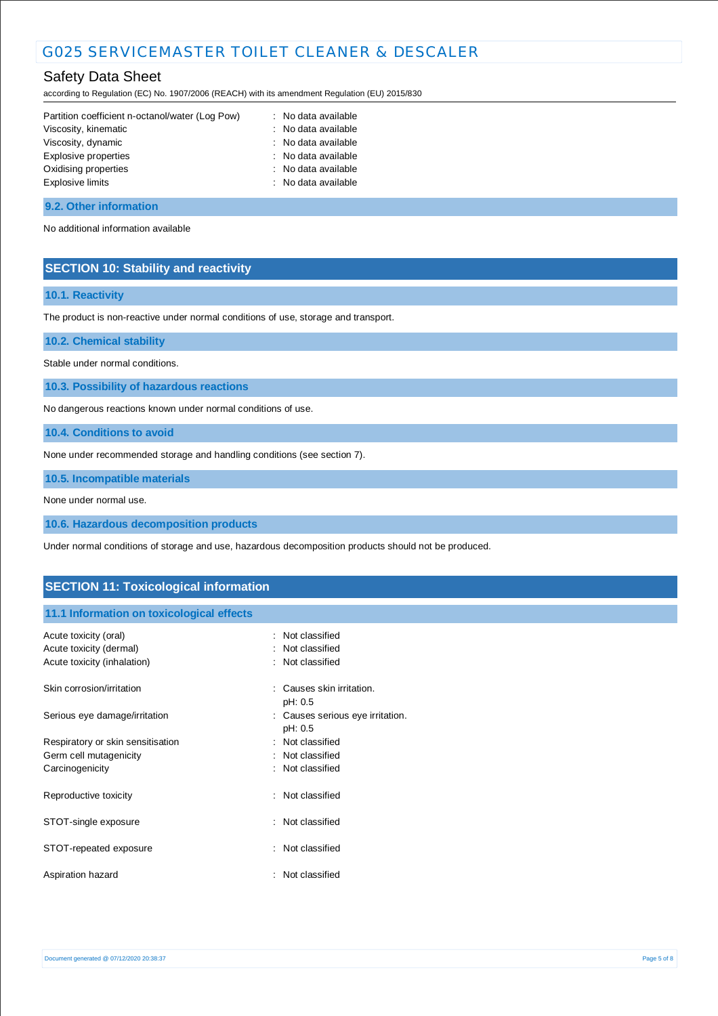## Safety Data Sheet

according to Regulation (EC) No. 1907/2006 (REACH) with its amendment Regulation (EU) 2015/830

| Partition coefficient n-octanol/water (Log Pow) | : No data available |
|-------------------------------------------------|---------------------|
| Viscosity, kinematic                            | : No data available |
| Viscosity, dynamic                              | : No data available |
| Explosive properties                            | : No data available |
| Oxidising properties                            | : No data available |
| Explosive limits                                | : No data available |
|                                                 |                     |

#### **9.2. Other information**

No additional information available

### **SECTION 10: Stability and reactivity**

#### **10.1. Reactivity**

The product is non-reactive under normal conditions of use, storage and transport.

**10.2. Chemical stability**

Stable under normal conditions.

**10.3. Possibility of hazardous reactions**

No dangerous reactions known under normal conditions of use.

**10.4. Conditions to avoid**

None under recommended storage and handling conditions (see section 7).

**10.5. Incompatible materials**

None under normal use.

**10.6. Hazardous decomposition products**

Under normal conditions of storage and use, hazardous decomposition products should not be produced.

### **SECTION 11: Toxicological information**

#### **11.1 Information on toxicological effects**

| Acute toxicity (oral)<br>Acute toxicity (dermal)<br>Acute toxicity (inhalation) | : Not classified<br>: Not classified<br>: Not classified |
|---------------------------------------------------------------------------------|----------------------------------------------------------|
| Skin corrosion/irritation                                                       | Causes skin irritation.<br>pH: 0.5                       |
| Serious eye damage/irritation                                                   | : Causes serious eye irritation.<br>pH: 0.5              |
| Respiratory or skin sensitisation                                               | : Not classified                                         |
| Germ cell mutagenicity                                                          | : Not classified                                         |
| Carcinogenicity                                                                 | : Not classified                                         |
| Reproductive toxicity                                                           | : Not classified                                         |
| STOT-single exposure                                                            | : Not classified                                         |
| STOT-repeated exposure                                                          | Not classified                                           |
| Aspiration hazard                                                               | : Not classified                                         |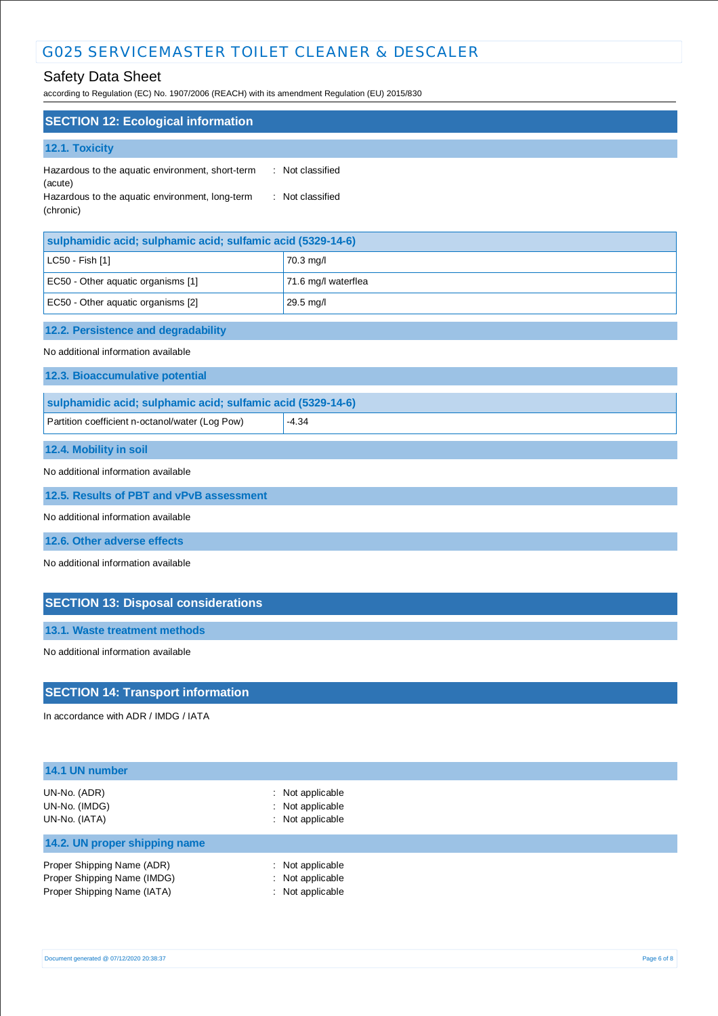## Safety Data Sheet

according to Regulation (EC) No. 1907/2006 (REACH) with its amendment Regulation (EU) 2015/830

| <b>SECTION 12: Ecological information</b>                                                                                   |                                      |  |
|-----------------------------------------------------------------------------------------------------------------------------|--------------------------------------|--|
| 12.1. Toxicity                                                                                                              |                                      |  |
| Hazardous to the aquatic environment, short-term<br>(acute)<br>Hazardous to the aquatic environment, long-term<br>(chronic) | : Not classified<br>: Not classified |  |
| sulphamidic acid; sulphamic acid; sulfamic acid (5329-14-6)                                                                 |                                      |  |
| LC50 - Fish [1]                                                                                                             | 70.3 mg/l                            |  |
| EC50 - Other aquatic organisms [1]                                                                                          | 71.6 mg/l waterflea                  |  |
| EC50 - Other aquatic organisms [2]                                                                                          | 29.5 mg/l                            |  |
| 12.2. Persistence and degradability                                                                                         |                                      |  |
| No additional information available                                                                                         |                                      |  |
| 12.3. Bioaccumulative potential                                                                                             |                                      |  |
| sulphamidic acid; sulphamic acid; sulfamic acid (5329-14-6)                                                                 |                                      |  |
| Partition coefficient n-octanol/water (Log Pow)                                                                             | $-4.34$                              |  |
| 12.4. Mobility in soil                                                                                                      |                                      |  |
| No additional information available                                                                                         |                                      |  |
| 12.5. Results of PBT and vPvB assessment                                                                                    |                                      |  |
| No additional information available                                                                                         |                                      |  |
| 12.6. Other adverse effects                                                                                                 |                                      |  |
| No additional information available                                                                                         |                                      |  |
| <b>SECTION 13: Disposal considerations</b>                                                                                  |                                      |  |
| 13.1. Waste treatment methods                                                                                               |                                      |  |
| No additional information available                                                                                         |                                      |  |

## **SECTION 14: Transport information**

In accordance with ADR / IMDG / IATA

| 14.1 UN number                                                                           |                                                                     |  |  |
|------------------------------------------------------------------------------------------|---------------------------------------------------------------------|--|--|
| UN-No. (ADR)<br>UN-No. (IMDG)<br>UN-No. (IATA)                                           | $\therefore$ Not applicable<br>: Not applicable<br>: Not applicable |  |  |
| 14.2. UN proper shipping name                                                            |                                                                     |  |  |
| Proper Shipping Name (ADR)<br>Proper Shipping Name (IMDG)<br>Proper Shipping Name (IATA) | $\therefore$ Not applicable<br>: Not applicable<br>: Not applicable |  |  |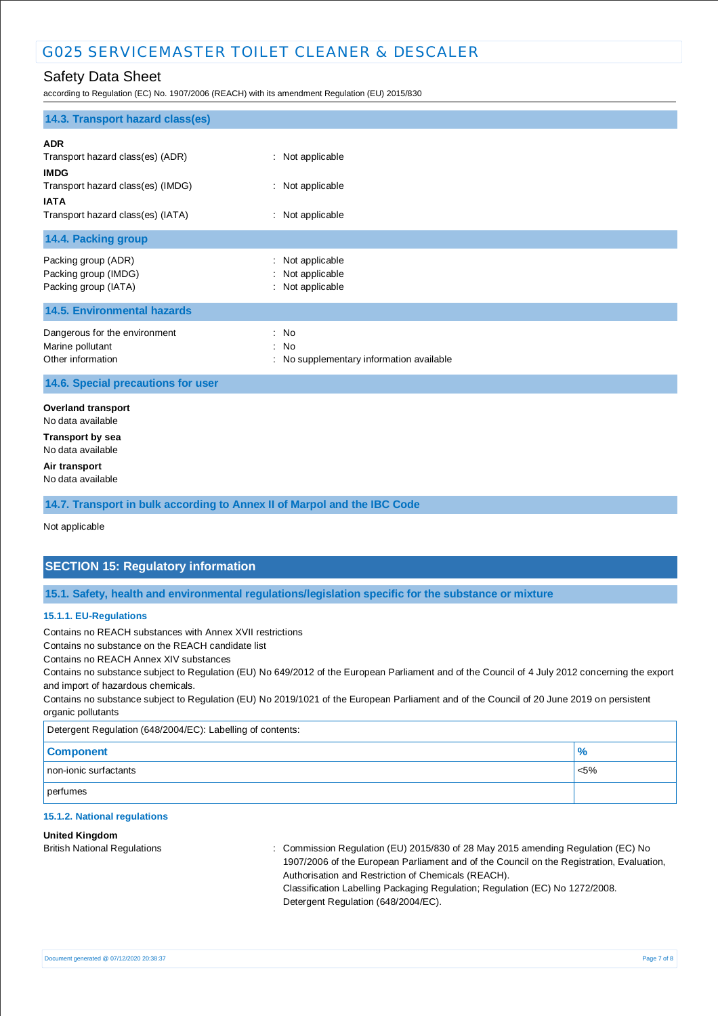## Safety Data Sheet

according to Regulation (EC) No. 1907/2006 (REACH) with its amendment Regulation (EU) 2015/830

| 14.3. Transport hazard class(es)                                                                                                                       |                                                          |  |
|--------------------------------------------------------------------------------------------------------------------------------------------------------|----------------------------------------------------------|--|
| <b>ADR</b><br>Transport hazard class(es) (ADR)<br><b>IMDG</b><br>Transport hazard class(es) (IMDG)<br><b>IATA</b><br>Transport hazard class(es) (IATA) | : Not applicable<br>: Not applicable<br>: Not applicable |  |
| 14.4. Packing group                                                                                                                                    |                                                          |  |
| Packing group (ADR)<br>Packing group (IMDG)<br>Packing group (IATA)                                                                                    | : Not applicable<br>Not applicable<br>: Not applicable   |  |
| <b>14.5. Environmental hazards</b>                                                                                                                     |                                                          |  |
| Dangerous for the environment<br>Marine pollutant<br>Other information                                                                                 | : No<br>: No<br>: No supplementary information available |  |
| 14.6. Special precautions for user                                                                                                                     |                                                          |  |
| <b>Overland transport</b><br>No data available<br><b>Transport by sea</b>                                                                              |                                                          |  |
| No data available                                                                                                                                      |                                                          |  |
| Air transport<br>No data available                                                                                                                     |                                                          |  |
| 14.7. Transport in bulk according to Annex II of Marpol and the IBC Code                                                                               |                                                          |  |
| Not applicable                                                                                                                                         |                                                          |  |

## **SECTION 15: Regulatory information**

**15.1. Safety, health and environmental regulations/legislation specific for the substance or mixture**

#### **15.1.1. EU-Regulations**

Contains no REACH substances with Annex XVII restrictions

Contains no substance on the REACH candidate list

Contains no REACH Annex XIV substances

Contains no substance subject to Regulation (EU) No 649/2012 of the European Parliament and of the Council of 4 July 2012 concerning the export and import of hazardous chemicals.

Contains no substance subject to Regulation (EU) No 2019/1021 of the European Parliament and of the Council of 20 June 2019 on persistent organic pollutants

Detergent Regulation (648/2004/EC): Labelling of contents:

| <b>Component</b>      | 70      |
|-----------------------|---------|
| non-ionic surfactants | $< 5\%$ |
| perfumes              |         |

#### **15.1.2. National regulations**

#### **United Kingdom**

British National Regulations : Commission Regulation (EU) 2015/830 of 28 May 2015 amending Regulation (EC) No 1907/2006 of the European Parliament and of the Council on the Registration, Evaluation, Authorisation and Restriction of Chemicals (REACH). Classification Labelling Packaging Regulation; Regulation (EC) No 1272/2008. Detergent Regulation (648/2004/EC).